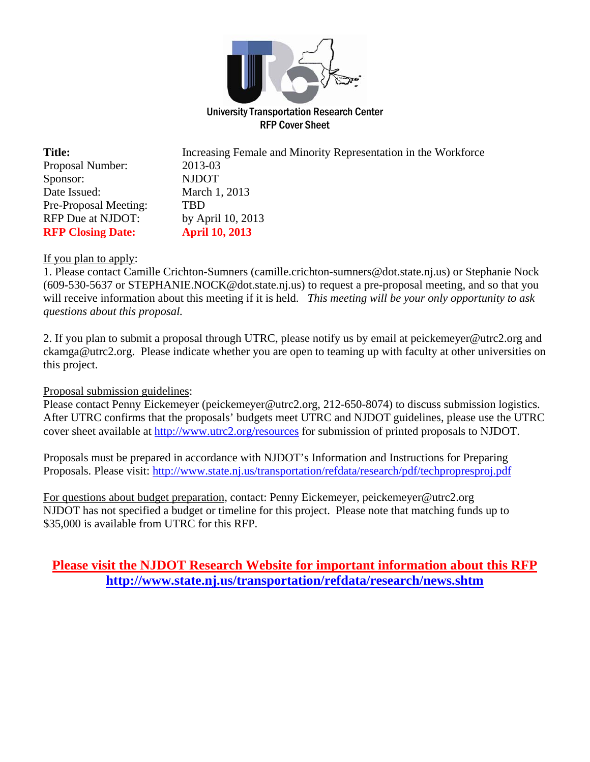

RFP Cover Sheet

| <b>Title:</b>            | Increasing Female and Minority Representation in the Workforce |
|--------------------------|----------------------------------------------------------------|
| Proposal Number:         | 2013-03                                                        |
| Sponsor:                 | <b>NJDOT</b>                                                   |
| Date Issued:             | March 1, 2013                                                  |
| Pre-Proposal Meeting:    | TRD                                                            |
| RFP Due at NJDOT:        | by April 10, 2013                                              |
| <b>RFP Closing Date:</b> | <b>April 10, 2013</b>                                          |

#### If you plan to apply:

1. Please contact Camille Crichton-Sumners (camille.crichton-sumners@dot.state.nj.us) or Stephanie Nock (609-530-5637 or STEPHANIE.NOCK@dot.state.nj.us) to request a pre-proposal meeting, and so that you will receive information about this meeting if it is held. *This meeting will be your only opportunity to ask questions about this proposal.*

2. If you plan to submit a proposal through UTRC, please notify us by email at peickemeyer@utrc2.org and ckamga@utrc2.org. Please indicate whether you are open to teaming up with faculty at other universities on this project.

### Proposal submission guidelines:

Please contact Penny Eickemeyer (peickemeyer@utrc2.org, 212-650-8074) to discuss submission logistics. After UTRC confirms that the proposals' budgets meet UTRC and NJDOT guidelines, please use the UTRC cover sheet available at http://www.utrc2.org/resources for submission of printed proposals to NJDOT.

Proposals must be prepared in accordance with NJDOT's Information and Instructions for Preparing Proposals. Please visit: http://www.state.nj.us/transportation/refdata/research/pdf/techpropresproj.pdf

For questions about budget preparation, contact: Penny Eickemeyer, peickemeyer@utrc2.org NJDOT has not specified a budget or timeline for this project. Please note that matching funds up to \$35,000 is available from UTRC for this RFP.

# **Please visit the NJDOT Research Website for important information about this RFP http://www.state.nj.us/transportation/refdata/research/news.shtm**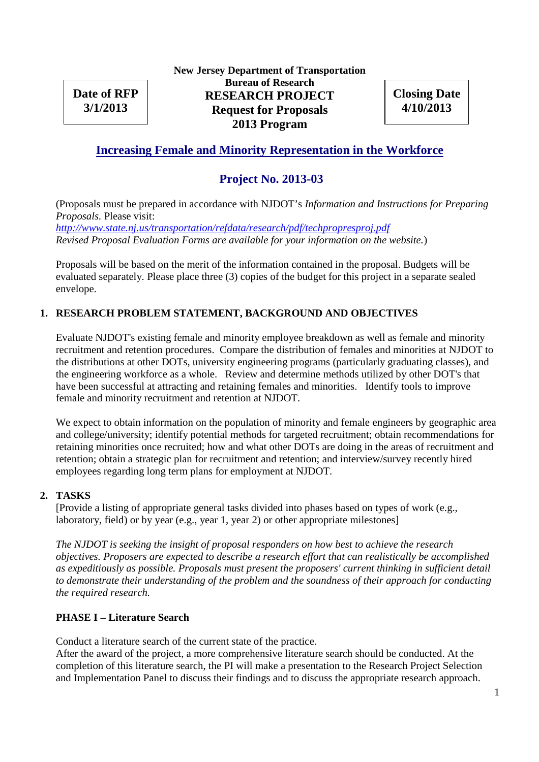**Date of RFP 3/1/2013**

**New Jersey Department of Transportation Bureau of Research RESEARCH PROJECT Request for Proposals 2013 Program**

**Closing Date 4/10/2013**

# **Increasing Female and Minority Representation in the Workforce**

# **Project No. 2013-03**

(Proposals must be prepared in accordance with NJDOT's *Information and Instructions for Preparing Proposals.* Please visit:

*http://www.state.nj.us/transportation/refdata/research/pdf/techpropresproj.pdf Revised Proposal Evaluation Forms are available for your information on the website.*)

Proposals will be based on the merit of the information contained in the proposal. Budgets will be evaluated separately. Please place three (3) copies of the budget for this project in a separate sealed envelope.

### **1. RESEARCH PROBLEM STATEMENT, BACKGROUND AND OBJECTIVES**

Evaluate NJDOT's existing female and minority employee breakdown as well as female and minority recruitment and retention procedures. Compare the distribution of females and minorities at NJDOT to the distributions at other DOTs, university engineering programs (particularly graduating classes), and the engineering workforce as a whole. Review and determine methods utilized by other DOT's that have been successful at attracting and retaining females and minorities. Identify tools to improve female and minority recruitment and retention at NJDOT.

We expect to obtain information on the population of minority and female engineers by geographic area and college/university; identify potential methods for targeted recruitment; obtain recommendations for retaining minorities once recruited; how and what other DOTs are doing in the areas of recruitment and retention; obtain a strategic plan for recruitment and retention; and interview/survey recently hired employees regarding long term plans for employment at NJDOT.

#### **2. TASKS**

[Provide a listing of appropriate general tasks divided into phases based on types of work (e.g., laboratory, field) or by year (e.g., year 1, year 2) or other appropriate milestones]

*The NJDOT is seeking the insight of proposal responders on how best to achieve the research objectives. Proposers are expected to describe a research effort that can realistically be accomplished as expeditiously as possible. Proposals must present the proposers' current thinking in sufficient detail to demonstrate their understanding of the problem and the soundness of their approach for conducting the required research.*

### **PHASE I – Literature Search**

Conduct a literature search of the current state of the practice.

After the award of the project, a more comprehensive literature search should be conducted. At the completion of this literature search, the PI will make a presentation to the Research Project Selection and Implementation Panel to discuss their findings and to discuss the appropriate research approach.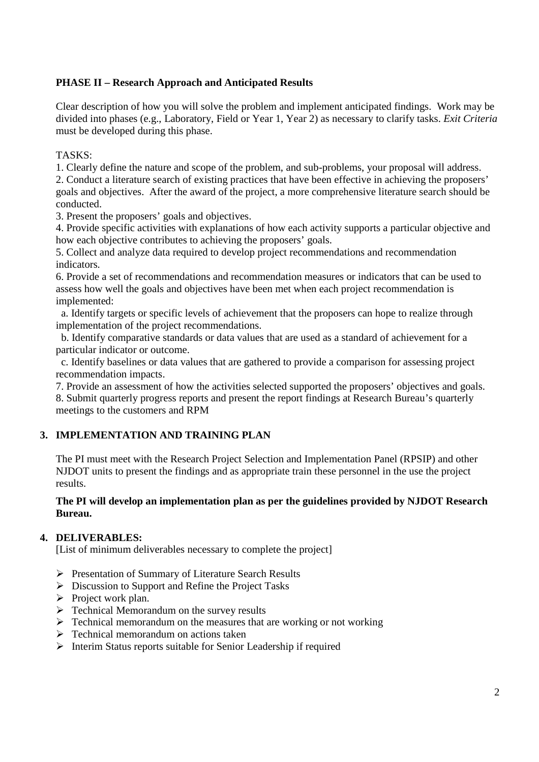## **PHASE II – Research Approach and Anticipated Results**

Clear description of how you will solve the problem and implement anticipated findings. Work may be divided into phases (e.g., Laboratory, Field or Year 1, Year 2) as necessary to clarify tasks. *Exit Criteria* must be developed during this phase.

## TASKS:

1. Clearly define the nature and scope of the problem, and sub-problems, your proposal will address.

2. Conduct a literature search of existing practices that have been effective in achieving the proposers' goals and objectives. After the award of the project, a more comprehensive literature search should be conducted.

3. Present the proposers' goals and objectives.

4. Provide specific activities with explanations of how each activity supports a particular objective and how each objective contributes to achieving the proposers' goals.

5. Collect and analyze data required to develop project recommendations and recommendation indicators.

6. Provide a set of recommendations and recommendation measures or indicators that can be used to assess how well the goals and objectives have been met when each project recommendation is implemented:

a. Identify targets or specific levels of achievement that the proposers can hope to realize through implementation of the project recommendations.

b. Identify comparative standards or data values that are used as a standard of achievement for a particular indicator or outcome.

c. Identify baselines or data values that are gathered to provide a comparison for assessing project recommendation impacts.

7. Provide an assessment of how the activities selected supported the proposers' objectives and goals. 8. Submit quarterly progress reports and present the report findings at Research Bureau's quarterly meetings to the customers and RPM

### **3. IMPLEMENTATION AND TRAINING PLAN**

The PI must meet with the Research Project Selection and Implementation Panel (RPSIP) and other NJDOT units to present the findings and as appropriate train these personnel in the use the project results.

#### **The PI will develop an implementation plan as per the guidelines provided by NJDOT Research Bureau.**

### **4. DELIVERABLES:**

[List of minimum deliverables necessary to complete the project]

- Presentation of Summary of Literature Search Results
- $\triangleright$  Discussion to Support and Refine the Project Tasks
- $\triangleright$  Project work plan.
- $\triangleright$  Technical Memorandum on the survey results
- $\triangleright$  Technical memorandum on the measures that are working or not working
- $\triangleright$  Technical memorandum on actions taken
- $\triangleright$  Interim Status reports suitable for Senior Leadership if required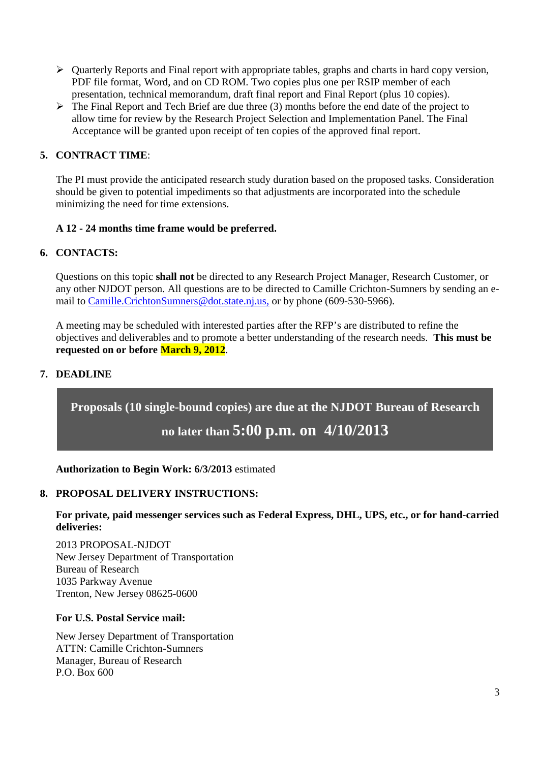- $\triangleright$  Quarterly Reports and Final report with appropriate tables, graphs and charts in hard copy version, PDF file format, Word, and on CD ROM. Two copies plus one per RSIP member of each presentation, technical memorandum, draft final report and Final Report (plus 10 copies).
- $\triangleright$  The Final Report and Tech Brief are due three (3) months before the end date of the project to allow time for review by the Research Project Selection and Implementation Panel. The Final Acceptance will be granted upon receipt of ten copies of the approved final report.

## **5. CONTRACT TIME**:

The PI must provide the anticipated research study duration based on the proposed tasks. Consideration should be given to potential impediments so that adjustments are incorporated into the schedule minimizing the need for time extensions.

### **A 12 - 24 months time frame would be preferred.**

### **6. CONTACTS:**

Questions on this topic **shall not** be directed to any Research Project Manager, Research Customer, or any other NJDOT person. All questions are to be directed to Camille Crichton-Sumners by sending an email to Camille.CrichtonSumners@dot.state.nj.us, or by phone (609-530-5966).

A meeting may be scheduled with interested parties after the RFP's are distributed to refine the objectives and deliverables and to promote a better understanding of the research needs. **This must be requested on or before March 9, 2012**.

# **7. DEADLINE**

**Proposals (10 single-bound copies) are due at the NJDOT Bureau of Research**

# **no later than 5:00 p.m. on 4/10/2013**

**Authorization to Begin Work: 6/3/2013** estimated

#### **8. PROPOSAL DELIVERY INSTRUCTIONS:**

**For private, paid messenger services such as Federal Express, DHL, UPS, etc., or for hand-carried deliveries:**

2013 PROPOSAL-NJDOT New Jersey Department of Transportation Bureau of Research 1035 Parkway Avenue Trenton, New Jersey 08625-0600

#### **For U.S. Postal Service mail:**

New Jersey Department of Transportation ATTN: Camille Crichton-Sumners Manager, Bureau of Research  $P \cap \overline{Box}$  600